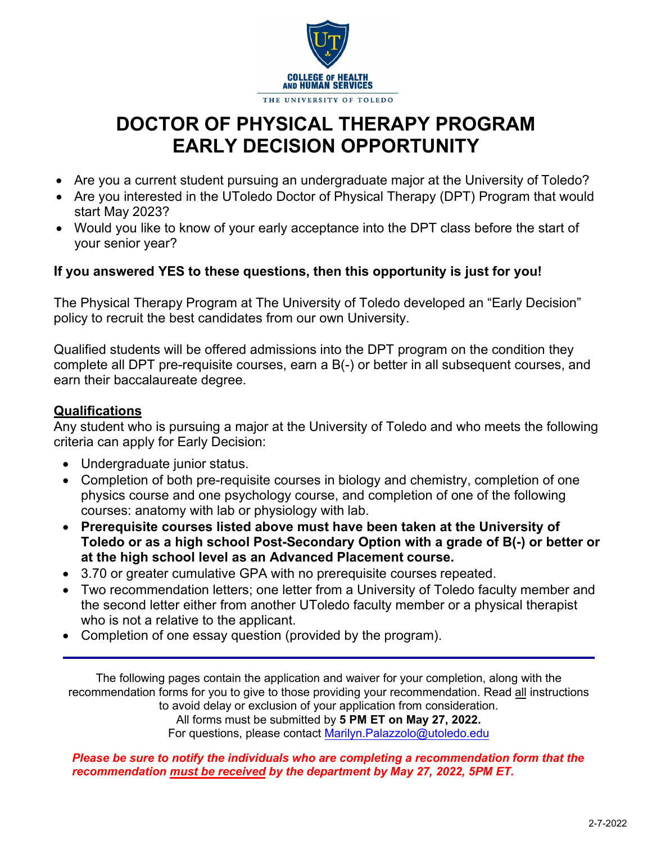

# **DOCTOR OF PHYSICAL THERAPY PROGRAM EARLY DECISION OPPORTUNITY**

- Are you a current student pursuing an undergraduate major at the University of Toledo?
- Are you interested in the UToledo Doctor of Physical Therapy (DPT) Program that would start May 2023?
- Would you like to know of your early acceptance into the DPT class before the start of your senior year?

### **If you answered YES to these questions, then this opportunity is just for you!**

The Physical Therapy Program at The University of Toledo developed an "Early Decision" policy to recruit the best candidates from our own University.

Qualified students will be offered admissions into the DPT program on the condition they complete all DPT pre-requisite courses, earn a B(-) or better in all subsequent courses, and earn their baccalaureate degree.

### **Qualifications**

Any student who is pursuing a major at the University of Toledo and who meets the following criteria can apply for Early Decision:

- Undergraduate junior status.
- Completion of both pre-requisite courses in biology and chemistry, completion of one physics course and one psychology course, and completion of one of the following courses: anatomy with lab or physiology with lab.
- **Prerequisite courses listed above must have been taken at the University of Toledo or as a high school Post-Secondary Option with a grade of B(-) or better or at the high school level as an Advanced Placement course.**
- 3.70 or greater cumulative GPA with no prerequisite courses repeated.
- Two recommendation letters; one letter from a University of Toledo faculty member and the second letter either from another UToledo faculty member or a physical therapist who is not a relative to the applicant.
- Completion of one essay question (provided by the program).

The following pages contain the application and waiver for your completion, along with the recommendation forms for you to give to those providing your recommendation. Read all instructions to avoid delay or exclusion of your application from consideration. All forms must be submitted by **5 PM ET on May 27, 2022.**  For questions, please contact [Marilyn.Palazzolo](mailto:PhysicalTherapy@UToledo.Edu)@utoledo.edu

*Please be sure to notify the individuals who are completing a [recommendation f](mailto:PhysicalTherapy@UToledo.Edu)orm that the recommendation must be received by the department by May 27, 2022, 5PM ET.*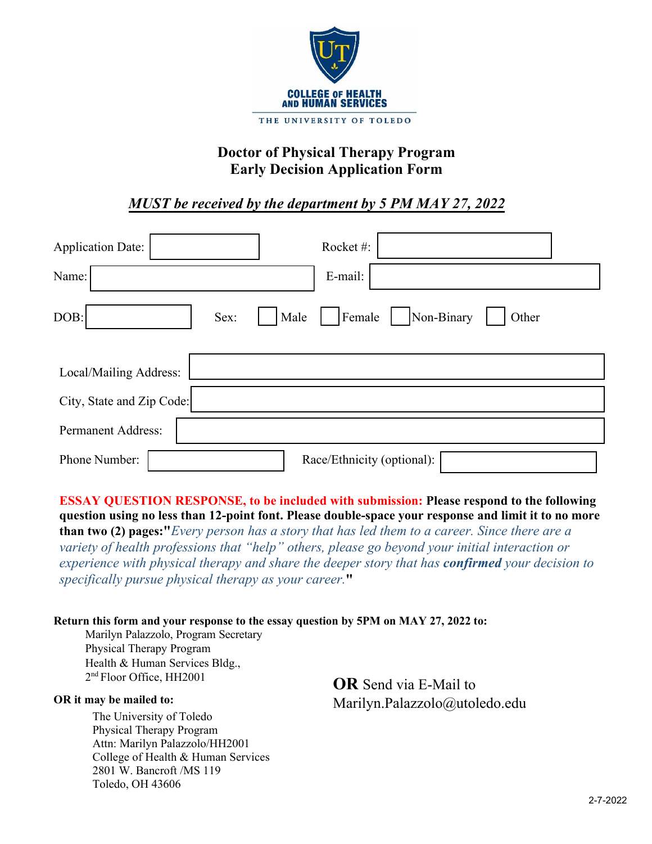

# **Doctor of Physical Therapy Program Early Decision Application Form**

# *MUST be received by the department by 5 PM MAY 27, 2022*

| <b>Application Date:</b>  | Rocket#:                              |
|---------------------------|---------------------------------------|
| Name:                     | E-mail:                               |
| DOB:<br>Sex:              | Non-Binary<br>Male<br>Female<br>Other |
| Local/Mailing Address:    |                                       |
| City, State and Zip Code: |                                       |
| <b>Permanent Address:</b> |                                       |
| Phone Number:             | Race/Ethnicity (optional):            |

**ESSAY QUESTION RESPONSE, to be included with submission: Please respond to the following question using no less than 12-point font. Please double-space your response and limit it to no more than two (2) pages:"***Every person has a story that has led them to a career. Since there are a* 

*variety of health professions that "help" others, please go beyond your initial interaction or experience with physical therapy and share the deeper story that has confirmed your decision to specifically pursue physical therapy as your career.***"** 

#### **Return this form and your response to the essay question by 5PM on MAY 27, 2022 to:**

Marilyn Palazzolo, Program Secretary Physical Therapy Program Health & Human Services Bldg., 2<sup>nd</sup> Floor Office, HH2001

#### **OR it may be mailed to:**

The University of Toledo Physical Therapy Program Attn: Marilyn Palazzolo/HH2001 College of Health & Human Services 2801 W. Bancroft /MS 119 Toledo, OH 43606

**OR** Send via E-Mail to Marilyn.Palazzolo@utoledo.edu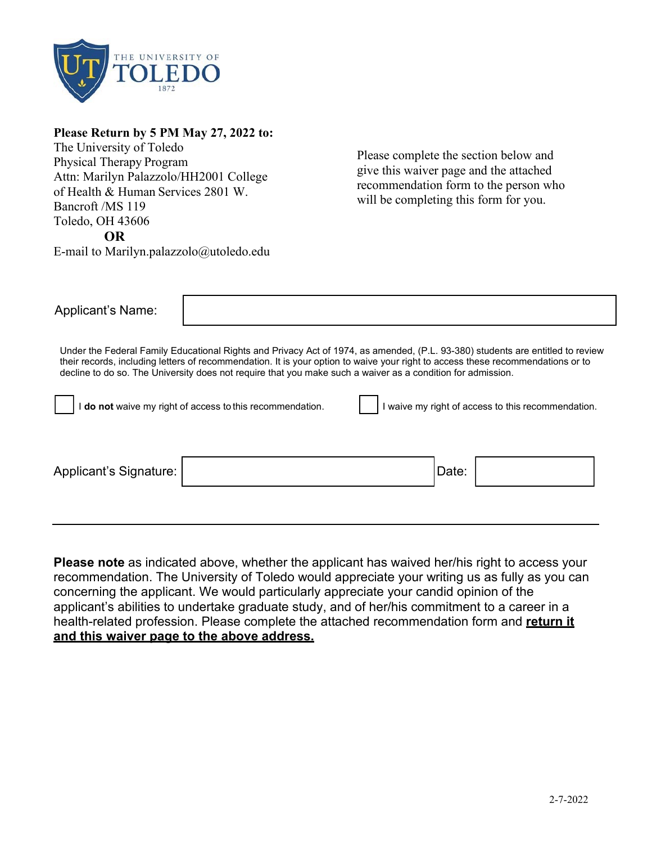

#### **Please Return by 5 PM May 27, 2022 to:**

The University of Toledo Physical Therapy Program Attn: Marilyn Palazzolo/HH2001 College of Health & Human Services 2801 W. Bancroft /MS 119 Toledo, OH 43606 **OR** 

Please complete the section below and give this waiver page and the attached recommendation form to the person who will be completing this form for you.

E-mail to Marilyn.palazzolo@utoledo.edu

| <b>Applicant's Name:</b>                                                                                      |                                                                                                                                                                                                                                                                                                                                                                                  |  |       |  |
|---------------------------------------------------------------------------------------------------------------|----------------------------------------------------------------------------------------------------------------------------------------------------------------------------------------------------------------------------------------------------------------------------------------------------------------------------------------------------------------------------------|--|-------|--|
|                                                                                                               | Under the Federal Family Educational Rights and Privacy Act of 1974, as amended, (P.L. 93-380) students are entitled to review<br>their records, including letters of recommendation. It is your option to waive your right to access these recommendations or to<br>decline to do so. The University does not require that you make such a waiver as a condition for admission. |  |       |  |
| I waive my right of access to this recommendation.<br>do not waive my right of access to this recommendation. |                                                                                                                                                                                                                                                                                                                                                                                  |  |       |  |
|                                                                                                               |                                                                                                                                                                                                                                                                                                                                                                                  |  |       |  |
| Applicant's Signature:                                                                                        |                                                                                                                                                                                                                                                                                                                                                                                  |  | Date: |  |
|                                                                                                               |                                                                                                                                                                                                                                                                                                                                                                                  |  |       |  |

**Please note** as indicated above, whether the applicant has waived her/his right to access your recommendation. The University of Toledo would appreciate your writing us as fully as you can concerning the applicant. We would particularly appreciate your candid opinion of the applicant's abilities to undertake graduate study, and of her/his commitment to a career in a health-related profession. Please complete the attached recommendation form and **return it and this waiver page to the above address.**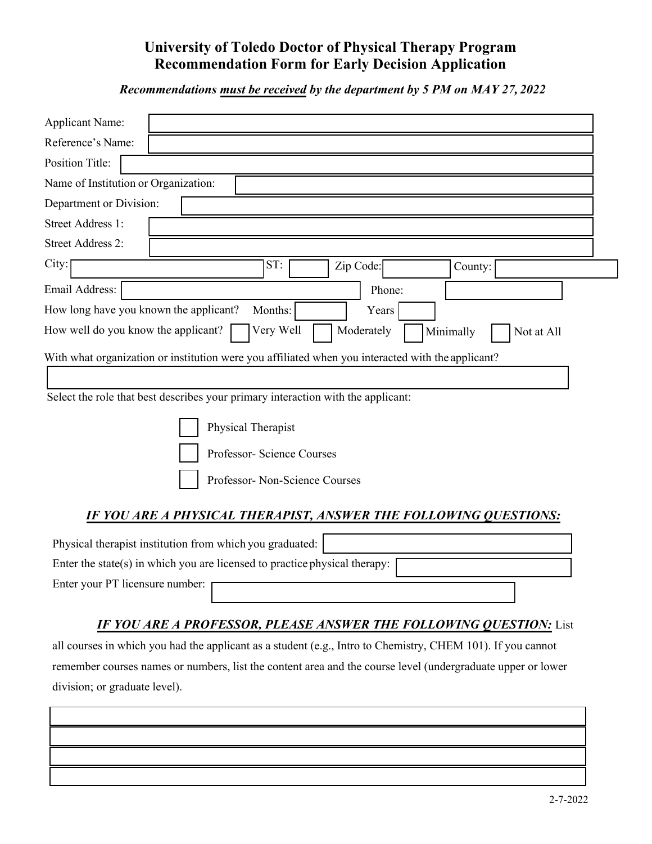# **University of Toledo Doctor of Physical Therapy Program Recommendation Form for Early Decision Application**

*Recommendations must be received by the department by 5 PM on MAY 27, 2022* 

| ST:<br>Zip Code:<br>County:                                                                                                                                                                                                                                                 |
|-----------------------------------------------------------------------------------------------------------------------------------------------------------------------------------------------------------------------------------------------------------------------------|
| Phone:                                                                                                                                                                                                                                                                      |
| How long have you known the applicant?<br>Months:<br>Years                                                                                                                                                                                                                  |
| Very Well<br>Moderately<br>Minimally<br>Not at All                                                                                                                                                                                                                          |
| With what organization or institution were you affiliated when you interacted with the applicant?<br>Select the role that best describes your primary interaction with the applicant:<br>Physical Therapist<br>Professor- Science Courses<br>Professor- Non-Science Courses |
| IF YOU ARE A PHYSICAL THERAPIST, ANSWER THE FOLLOWING QUESTIONS:<br>Physical therapist institution from which you graduated:<br>Enter the state(s) in which you are licensed to practice physical therapy:                                                                  |
|                                                                                                                                                                                                                                                                             |

### *IF YOU ARE A PROFESSOR, PLEASE ANSWER THE FOLLOWING QUESTION:* List

all courses in which you had the applicant as a student (e.g., Intro to Chemistry, CHEM 101). If you cannot remember courses names or numbers, list the content area and the course level (undergraduate upper or lower division; or graduate level).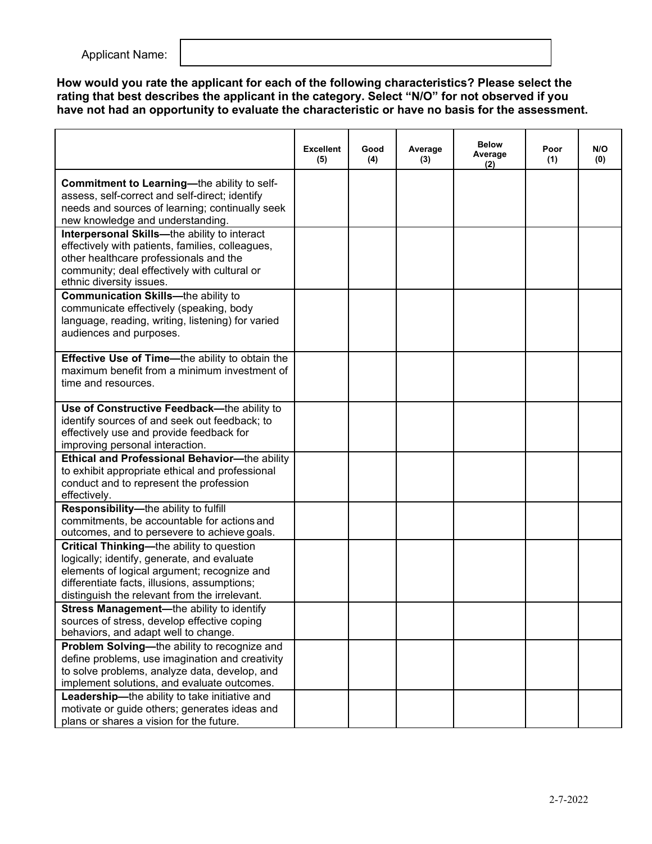Applicant Name:

**How would you rate the applicant for each of the following characteristics? Please select the rating that best describes the applicant in the category. Select "N/O" for not observed if you have not had an opportunity to evaluate the characteristic or have no basis for the assessment.**

|                                                                                                                                                                                                                                                 | <b>Excellent</b><br>(5) | Good<br>(4) | Average<br>(3) | <b>Below</b><br>Average<br>(2) | Poor<br>(1) | N/O<br>(0) |
|-------------------------------------------------------------------------------------------------------------------------------------------------------------------------------------------------------------------------------------------------|-------------------------|-------------|----------------|--------------------------------|-------------|------------|
| Commitment to Learning-the ability to self-<br>assess, self-correct and self-direct; identify<br>needs and sources of learning; continually seek<br>new knowledge and understanding.                                                            |                         |             |                |                                |             |            |
| Interpersonal Skills-the ability to interact<br>effectively with patients, families, colleagues,<br>other healthcare professionals and the<br>community; deal effectively with cultural or<br>ethnic diversity issues.                          |                         |             |                |                                |             |            |
| <b>Communication Skills--</b> the ability to<br>communicate effectively (speaking, body<br>language, reading, writing, listening) for varied<br>audiences and purposes.                                                                         |                         |             |                |                                |             |            |
| Effective Use of Time-the ability to obtain the<br>maximum benefit from a minimum investment of<br>time and resources.                                                                                                                          |                         |             |                |                                |             |            |
| Use of Constructive Feedback-the ability to<br>identify sources of and seek out feedback; to<br>effectively use and provide feedback for<br>improving personal interaction.                                                                     |                         |             |                |                                |             |            |
| Ethical and Professional Behavior-the ability<br>to exhibit appropriate ethical and professional<br>conduct and to represent the profession<br>effectively.                                                                                     |                         |             |                |                                |             |            |
| Responsibility-the ability to fulfill<br>commitments, be accountable for actions and<br>outcomes, and to persevere to achieve goals.                                                                                                            |                         |             |                |                                |             |            |
| <b>Critical Thinking—the ability to question</b><br>logically; identify, generate, and evaluate<br>elements of logical argument; recognize and<br>differentiate facts, illusions, assumptions;<br>distinguish the relevant from the irrelevant. |                         |             |                |                                |             |            |
| Stress Management-the ability to identify<br>sources of stress, develop effective coping<br>behaviors, and adapt well to change.                                                                                                                |                         |             |                |                                |             |            |
| Problem Solving-the ability to recognize and<br>define problems, use imagination and creativity<br>to solve problems, analyze data, develop, and<br>implement solutions, and evaluate outcomes.                                                 |                         |             |                |                                |             |            |
| Leadership-the ability to take initiative and<br>motivate or guide others; generates ideas and<br>plans or shares a vision for the future.                                                                                                      |                         |             |                |                                |             |            |